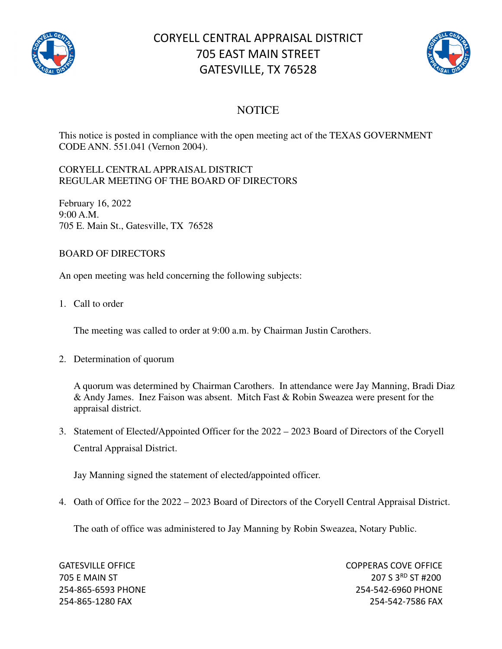

## CORYELL CENTRAL APPRAISAL DISTRICT 705 EAST MAIN STREET GATESVILLE, TX 76528



## **NOTICE**

This notice is posted in compliance with the open meeting act of the TEXAS GOVERNMENT CODE ANN. 551.041 (Vernon 2004).

## CORYELL CENTRAL APPRAISAL DISTRICT REGULAR MEETING OF THE BOARD OF DIRECTORS

February 16, 2022 9:00 A.M. 705 E. Main St., Gatesville, TX 76528

## BOARD OF DIRECTORS

An open meeting was held concerning the following subjects:

1. Call to order

The meeting was called to order at 9:00 a.m. by Chairman Justin Carothers.

2. Determination of quorum

A quorum was determined by Chairman Carothers. In attendance were Jay Manning, Bradi Diaz & Andy James. Inez Faison was absent. Mitch Fast & Robin Sweazea were present for the appraisal district.

3. Statement of Elected/Appointed Officer for the 2022 – 2023 Board of Directors of the Coryell Central Appraisal District.

Jay Manning signed the statement of elected/appointed officer.

4. Oath of Office for the 2022 – 2023 Board of Directors of the Coryell Central Appraisal District.

The oath of office was administered to Jay Manning by Robin Sweazea, Notary Public.

GATESVILLE OFFICE **COPPERAS COVE OF EXAMPLE 2** 705 E MAIN ST 207 S 3RD ST #200 254-865-6593 PHONE 254-542-6960 PHONE 254-865-1280 FAX 254-542-7586 FAX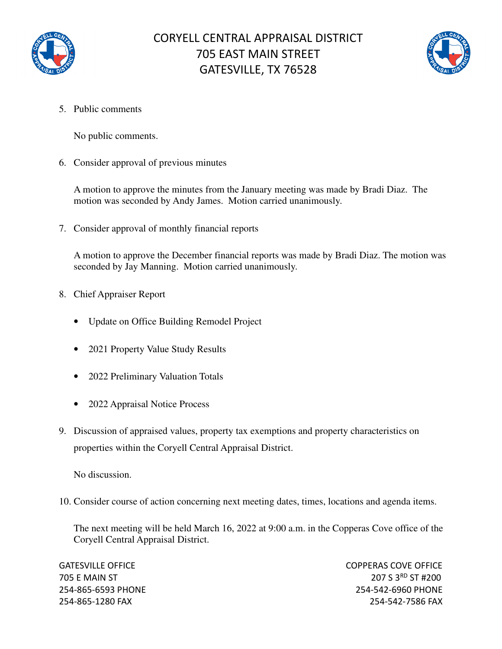



5. Public comments

No public comments.

6. Consider approval of previous minutes

A motion to approve the minutes from the January meeting was made by Bradi Diaz. The motion was seconded by Andy James. Motion carried unanimously.

7. Consider approval of monthly financial reports

A motion to approve the December financial reports was made by Bradi Diaz. The motion was seconded by Jay Manning. Motion carried unanimously.

- 8. Chief Appraiser Report
	- Update on Office Building Remodel Project
	- 2021 Property Value Study Results
	- 2022 Preliminary Valuation Totals
	- 2022 Appraisal Notice Process
- 9. Discussion of appraised values, property tax exemptions and property characteristics on properties within the Coryell Central Appraisal District.

No discussion.

10. Consider course of action concerning next meeting dates, times, locations and agenda items.

The next meeting will be held March 16, 2022 at 9:00 a.m. in the Copperas Cove office of the Coryell Central Appraisal District.

GATESVILLE OFFICE **COPPERAS COVE OF EXAMPLE 2** 705 E MAIN ST 207 S 3RD ST #200 254-865-6593 PHONE 254-542-6960 PHONE 254-865-1280 FAX 254-542-7586 FAX